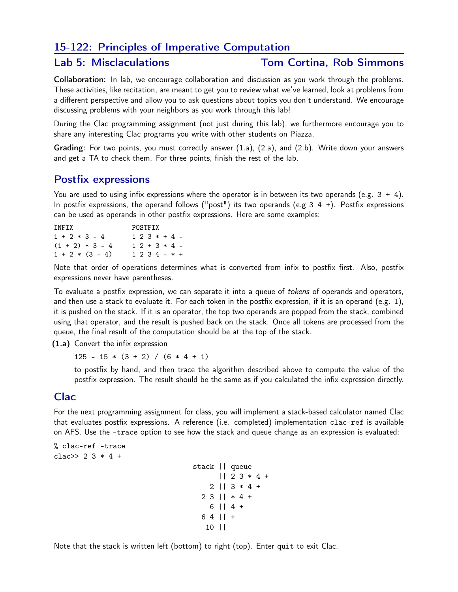# 15-122: Principles of Imperative Computation

## Lab 5: Misclaculations Tom Cortina, Rob Simmons

Collaboration: In lab, we encourage collaboration and discussion as you work through the problems. These activities, like recitation, are meant to get you to review what we've learned, look at problems from a different perspective and allow you to ask questions about topics you don't understand. We encourage discussing problems with your neighbors as you work through this lab!

During the Clac programming assignment (not just during this lab), we furthermore encourage you to share any interesting Clac programs you write with other students on Piazza.

Grading: For two points, you must correctly answer (1.a), (2.a), and (2.b). Write down your answers and get a TA to check them. For three points, finish the rest of the lab.

## Postfix expressions

You are used to using infix expressions where the operator is in between its two operands (e.g.  $3 + 4$ ). In postfix expressions, the operand follows ("post") its two operands (e.g  $3 \, 4 \, +$ ). Postfix expressions can be used as operands in other postfix expressions. Here are some examples:

| TNFTX             | POSTFTX        |  |  |  |  |  |  |
|-------------------|----------------|--|--|--|--|--|--|
| $1 + 2 * 3 - 4$   | $12.3*+4$ -    |  |  |  |  |  |  |
| $(1 + 2) * 3 - 4$ | $12 + 3 * 4 -$ |  |  |  |  |  |  |
| $1 + 2 * (3 - 4)$ | $1234 - * +$   |  |  |  |  |  |  |

Note that order of operations determines what is converted from infix to postfix first. Also, postfix expressions never have parentheses.

To evaluate a postfix expression, we can separate it into a queue of tokens of operands and operators, and then use a stack to evaluate it. For each token in the postfix expression, if it is an operand (e.g. 1), it is pushed on the stack. If it is an operator, the top two operands are popped from the stack, combined using that operator, and the result is pushed back on the stack. Once all tokens are processed from the queue, the final result of the computation should be at the top of the stack.

(1.a) Convert the infix expression

 $125 - 15 * (3 + 2) / (6 * 4 + 1)$ 

to postfix by hand, and then trace the algorithm described above to compute the value of the postfix expression. The result should be the same as if you calculated the infix expression directly.

## Clac

For the next programming assignment for class, you will implement a stack-based calculator named Clac that evaluates postfix expressions. A reference (i.e. completed) implementation clac-ref is available on AFS. Use the -trace option to see how the stack and queue change as an expression is evaluated:

% clac-ref -trace clac>>  $2 \times 3 * 4 +$ stack || queue || 2 3 \* 4 +  $2 \mid 3 \times 4 +$ 2 3 || \* 4 + 6 || 4 + 6 4 || + 10 ||

Note that the stack is written left (bottom) to right (top). Enter quit to exit Clac.